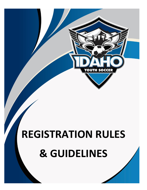

# **REGISTRATION RULES & GUIDELINES**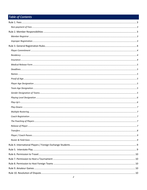# Table of Contents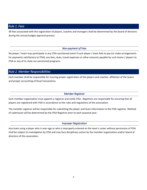# <span id="page-2-0"></span>*Rule 1. Fees*

All fees associated with the registration of players, coaches and managers shall be determined by the board of directors during the annual budget approval process.

#### *Non-payment of Fees*

<span id="page-2-1"></span>No player / team may participate in any IYSA-sanctioned event if such player / team fails to pay (or make arrangements for payments satisfactory to IYSA), any fees, dues, travel expenses or other amounts payable by such teams / players to IYSA or any of its state ran sanctioned programs.

# <span id="page-2-2"></span>*Rule 2. Member Responsibilities*

Each member shall be responsible for insuring proper registration of the players and coaches, affiliation of the teams and proper accounting of fiscal transactions.

#### *Member Registrar*

<span id="page-2-3"></span>Each member organization must appoint a registrar and notify IYSA. Registrars are responsible for ensuring that all players are registered with IYSA in accordance to the rules and regulations of the association.

The member registrar will be responsible for submitting the player and team information to the IYSA registrar. Method of submission will be determined by the IYSA Registrar prior to each seasonal year.

#### *Improper Registration*

<span id="page-2-4"></span>Any team using a player who is over-age or who is improperly entered on the team's roster without permission of IYSA shall be subject to investigation by IYSA and may face disciplinary action by the member organization and/or board of directors of this association.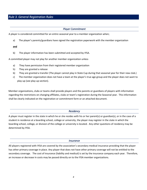# <span id="page-3-0"></span>*Rule 3. General Registration Rules*

#### *Player Commitment*

<span id="page-3-1"></span>A player is considered committed for an entire seasonal year to a member organization when;

a) The player's parents/guardians have signed the registration paperwork with the member organization

#### **and**

b) The player information has been submitted and accepted by IYSA.

A committed player may not play for another member organization unless

- a) They have permission from their registered member organization
- b) They are granted a release
- b) They are granted a transfer (The player cannot play in State Cup during that seasonal year for their new club.)
- c) The member organization does not have a team at the player's true age group and the player does not want to play-up (see play-up section).

Member organizations, clubs or teams shall provide players and the parents or guardians of players with information regarding the restrictions on changing affiliates, clubs or team's registration during the Seasonal year. This information shall be clearly indicated on the registration or commitment form or an attached document.

#### *Residency*

<span id="page-3-2"></span>A player must register in the state in which he or she resides with his or her parent(s) or guardian(s), or in the case of a student in residence at a boarding school, college or university, the player may register in the state in which the boarding school, college, or division of the college or university is located. Any other questions of residency may be determined by IYSA.

#### *Insurance*

<span id="page-3-3"></span>All players registered with IYSA are covered by the association's secondary medical insurance providing that the player has other primary coverage in place. Any player that does not have other primary coverage will not be entitled to the secondary coverage. The cost of insurance (liability and medical) is set by the insurance company each year. Therefore, an increase or decrease in costs may be passed directly on to the IYSA member organizations.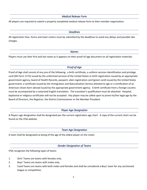#### *Medical Release Form*

<span id="page-4-1"></span><span id="page-4-0"></span>All players are required to submit a properly completed medical release form to their member organization.

#### *Deadlines*

All registration fees, forms and team rosters must be submitted by the deadlines to avoid any delays and possible late charges.

#### *Names*

<span id="page-4-3"></span><span id="page-4-2"></span>Players must use their first and last name as it appears on their proof-of-age document on all registration materials.

### *Proof-of-Age*

Proof-of-Age shall consist of any one of the following: a birth certificate, a uniform services identification and privilege card (DD Form 1173) issued by the uniformed services of the United States or birth registration issued by an appropriate government agency, board of Health Records, passport, alien registration card (green card) issued by the United States government, a certificate issued by the Immigration and Naturalization Service attested to age or a certification of an American citizen born abroad issued by the appropriate government agency. A birth certificate from a foreign country must be accompanied by a notarized English translation. The translator's qualification must be attached. Hospital, baptismal or religious certificates will not be accepted. Any player may be called upon to prove his/her legal age by the Board of Directors, the Registrar, the District Commissioner or the Member President.

#### *Player Age Designation*

<span id="page-4-4"></span>A Players age designation shall be designated per the current registration age chart. A copy of the current chart can be found on the IYSA website.

*Team Age Designation* 

<span id="page-4-6"></span><span id="page-4-5"></span>A team shall be designated as being of the age of the oldest player on the roster.

#### *Gender Designation of Teams*

IYSA recognizes the following types of teams

- 1. Girls' Teams are teams with females only.
- 2. Boys' Teams are teams with males only.
- 3. Coed Teams are teams with both males and females and shall be considered a Boys' team for any sanctioned league or competition.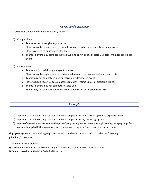#### *Playing Level Designation*

<span id="page-5-0"></span>IYSA recognizes the following levels of teams / players

- 1) Competitive
	- a. Teams formed through a tryout process
	- b. Players must be registered as a competitive player to be on a competitive team roster
	- c. Players receive no guaranteed play time
	- d. Teams / Players may compete in State Cup and any in or out of state US Soccer member sanctioned event
- 2) Recreation
	- a. Teams not formed through a tryout process
	- b. Players must be registered as a recreational player to be on a recreational team roster
	- c. Teams may not compete in a competitive-only designated event.
	- d. Players should receive approximately equal playing time unless of discipline issues.
	- e. Teams / Players may not compete in State Cup
	- f. Teams may not compete out of State without written permission from IYSA

#### *Play-Up's*

- <span id="page-5-1"></span>1) A player U14 or below may register to a team competing in an age group up to two (2) years higher.
- 2) A player U15 or above may register to a team competing in any higher age group.
- 3) A player's parent must consent to the player's registering to a team competing in any higher age group. Such consent is implied if the parent registers online, and no special form is required in such case.

*Play up exception:* Players wishing to play up more than what is stated may do so under the following guidelines/procedures:

- 1) Player is in good standing.
- 2) Recommendation from the Member Organization DOC, Technical Director or President.
- 3) Final Approval from the IYSA Technical Director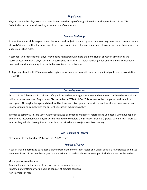*Play-Downs* 

<span id="page-6-0"></span>Players may not be play-down on a team lower than their age of designation without the permission of the IYSA Technical Director or as allowed by an event rule of competition.

#### *Multiple Rostering*

<span id="page-6-1"></span>If permitted under club, league or member rules, and subject to state cup rules, a player may be rostered on a maximum of two IYSA teams within the same club if the teams are in different leagues and subject to any overriding tournament or league restrictive rules.

A competitive or recreational player may not be registered with more than one club at any given time during the seasonal year however a player wishing to participate in an internal recreation league for one club and a competitive team with another club may do so with the permission of both clubs.

A player registered with IYSA may also be registered with and/or play with another organized youth soccer association, e.g. AYSO.

#### *Coach Registration*

<span id="page-6-2"></span>As part of the Athlete and Participant Safety Policy coaches, managers, referees and volunteers, will need to submit an online or paper Volunteer Registration Disclosure Form (VRD) to IYSA. This form must be completed and submitted every year. Although a background check will be done every two years, there will be random checks done every year. Coaches must also comply with the current concussion education policy.

In order to comply with Safe Sport Authorization Act, all coaches, managers, referees and volunteers who have regular one-on-one interaction with players will be required to complete the SafeSport training (Approx. 90 minutes). Every 12 months they will also be required to complete the refresher course (Approx. 30 minutes).

#### *The Poaching of Players*

<span id="page-6-4"></span><span id="page-6-3"></span>Please refer to the Poaching Policy on the IYSA Website

#### *Release of Player*

A coach shall be permitted to release a player from his/her own team roster only under special circumstances and must have permission of the member organization president, or technical director examples include but are not limited to

Moving away from the area Repeated unexcused absences from practice sessions and/or games Repeated ungentlemanly or unladylike conduct at practice sessions Non-Payment of fees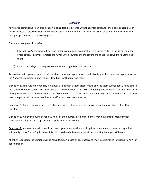#### *Transfers*

<span id="page-7-0"></span>Any player committing to an organization is considered registered with that organization for the entire seasonal year unless granted a release or transfer by that organization. All requests for transfers shall be submitted via e-mail or on the appropriate form to the IYSA registrar.

#### There are two types of transfer

- 1) Internal A Player moving from one roster in a member organization to another roster in the same member organization. Internal transfers are *not* counted towards the maximum of 5 that are allowed for a State Cup team.
- 2) External A Player moving from one-member organization to another.

Any player that is granted an external transfer to another organization is ineligible to play for their new organization in the National Championship Series, i.e. State Cup, for that playing year.

Exception 1. This rule will not apply if a player's signs with a team after tryouts and the team subsequently folds before the start of the next season. For "Fall teams" this means prior to the first scheduled game in the Fall for that team or for "Spring-only teams" this means prior to the first game for that team after the team is registered with the State. In these cases the player will be considered as an add/drop rather than a transfer.

Exception 2. A player moving into the District during the playing year will be considered a new player rather than a transfer.

Exception 3. A player moving beyond 50 miles of their current area of residence, may be granted a transfer with permission to play at state cup, but must apply to IYSA for a ruling.

Exception 4. A player being dropped from one organization via the add/drop form then added to another organization will be eligible for State Cup however it is still considered a transfer against the receiving team per NCS rules.

All other requests for exceptions will be considered on a case by case basis and must be submitted in writing to IYSA for consideration.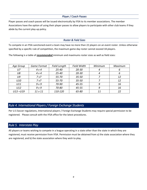*Player / Coach Passes* 

<span id="page-8-0"></span>Player passes and coach passes will be issued electronically by IYSA to its member associations. The member Associations have the option of using their player passes to allow players to participate with other club teams if they abide by the current play-up policy.

#### *Roster & Field Sizes*

<span id="page-8-1"></span>To compete in an IYSA sanctioned event a team may have no more than 22 players on an event roster. Unless otherwise specified by a specific rule of competition, the maximum game day roster cannot exceed 18 players.

The following is a table of *recommended* minimum and maximums roster sizes as well as field sizes:

| Age Group   | <b>Game Format</b> | <b>Field Length</b> | <b>Field Width</b> | Minimum | Maximum |
|-------------|--------------------|---------------------|--------------------|---------|---------|
| U7          | 4 v 4              | $25 - 40$           | $20 - 30$          |         | ь       |
| U8          | 4 v 4              | $25 - 40$           | $20 - 30$          |         | 6       |
| U9          | 7 v 7              | 55-70               | $35 - 50$          |         | 12      |
| U10         | 7 v7               | 55-70               | $35 - 50$          |         | 12      |
| U11         | 9 <sub>V</sub> 9   | 70-90               | $45 - 55$          | 9       | 16      |
| U12         | 9V9                | 70-80               | $45 - 55$          | 9       | 16      |
| $U13 - U19$ | 11 v 11            | 110-120             | 65-80              | 11      | 22      |

# <span id="page-8-2"></span>*Rule 4. International Players / Foreign Exchange Students*

Per U.S Soccer regulations, International players / Foreign Exchange Students may require special permission to be registered. Please consult with the IYSA office for the latest procedures.

# <span id="page-8-3"></span>*Rule 5. Interstate Play*

All players or teams wishing to compete in a league operating in a state other than the state in which they are registered, must receive permission from IYSA. Permission must be obtained from a) the state association where they are registered, and b) the state association where they wish to play.